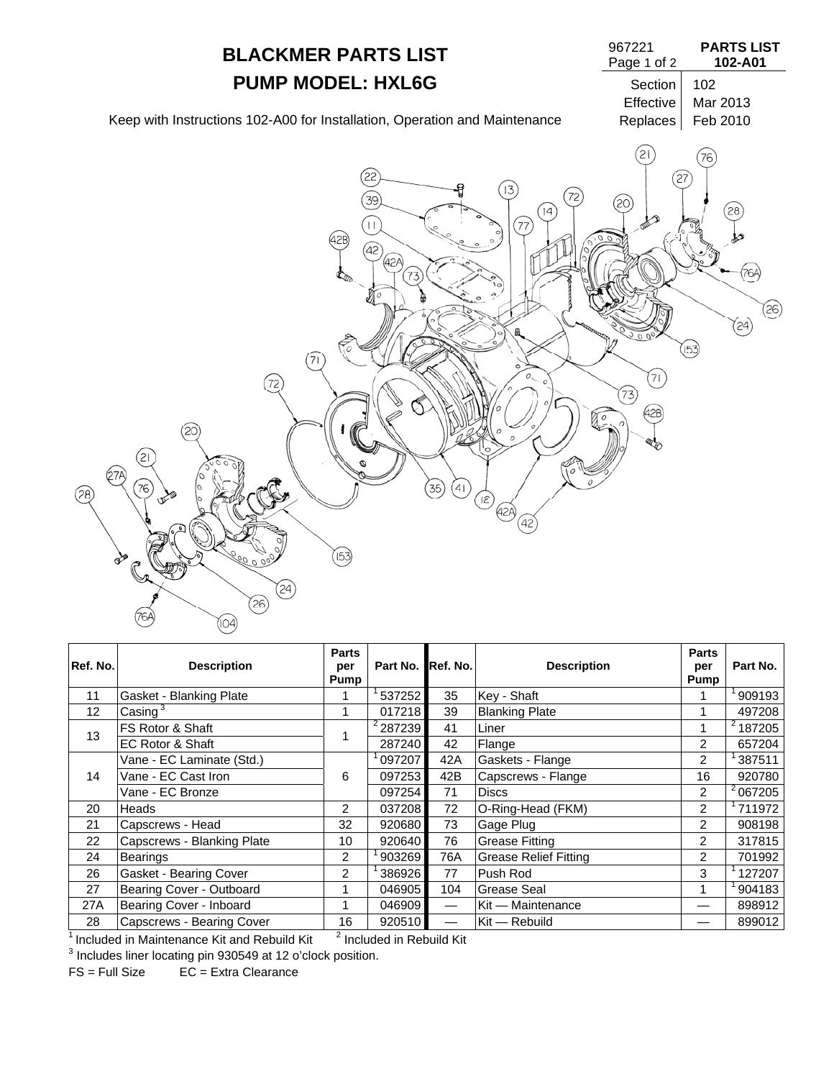

| Ref. No. | <b>Description</b>          | <b>Parts</b><br>per<br>Pump | Part No. Ref. No.   |     | <b>Description</b>           | <b>Parts</b><br>per<br>Pump | Part No.      |
|----------|-----------------------------|-----------------------------|---------------------|-----|------------------------------|-----------------------------|---------------|
| 11       | Gasket - Blanking Plate     |                             | 537252              | 35  | Key - Shaft                  |                             | 909193        |
| 12       | Casing $3$                  |                             | 017218              | 39  | <b>Blanking Plate</b>        |                             | 497208        |
| 13       | FS Rotor & Shaft            |                             | <sup>2</sup> 287239 | 41  | Liner                        | 1                           | $^{2}$ 187205 |
|          | <b>EC Rotor &amp; Shaft</b> |                             | 287240              | 42  | Flange                       | $\overline{2}$              | 657204        |
| 14       | Vane - EC Laminate (Std.)   | 6                           | 097207              | 42A | Gaskets - Flange             | $\overline{2}$              | 387511        |
|          | Vane - EC Cast Iron         |                             | 097253              | 42B | Capscrews - Flange           | 16                          | 920780        |
|          | Vane - EC Bronze            |                             | 097254              | 71  | <b>Discs</b>                 | 2                           | $^{2}$ 067205 |
| 20       | Heads                       | $\overline{2}$              | 037208              | 72  | O-Ring-Head (FKM)            | $\overline{2}$              | 711972        |
| 21       | Capscrews - Head            | 32                          | 920680              | 73  | Gage Plug                    | $\overline{2}$              | 908198        |
| 22       | Capscrews - Blanking Plate  | 10                          | 920640              | 76  | <b>Grease Fitting</b>        | $\overline{2}$              | 317815        |
| 24       | Bearings                    | $\overline{2}$              | 903269              | 76A | <b>Grease Relief Fitting</b> | $\overline{2}$              | 701992        |
| 26       | Gasket - Bearing Cover      | 2                           | 386926              | 77  | Push Rod                     | 3                           | 127207        |
| 27       | Bearing Cover - Outboard    | 1                           | 046905              | 104 | Grease Seal                  | 1                           | 904183        |
| 27A      | Bearing Cover - Inboard     |                             | 046909              |     | Kit - Maintenance            |                             | 898912        |
| 28       | Capscrews - Bearing Cover   | 16                          | 920510              |     | Kit — Rebuild                |                             | 899012        |

 $\frac{1}{1}$  Included in Maintenance Kit and Rebuild Kit  $\frac{2}{1}$  Included in Rebuild Kit  $^{\text{\tiny{\text{I}}} }$  Included in Maintenance Kit and Rebuild Kit  $^{-}$   $^{\text{\tiny{\text{I}}} }$  Included in Rebuild Kit  $^{\text{\tiny{\text{3}}}}$  Includes liner locating pin 930549 at 12 o'clock position.

FS = Full Size EC = Extra Clearance